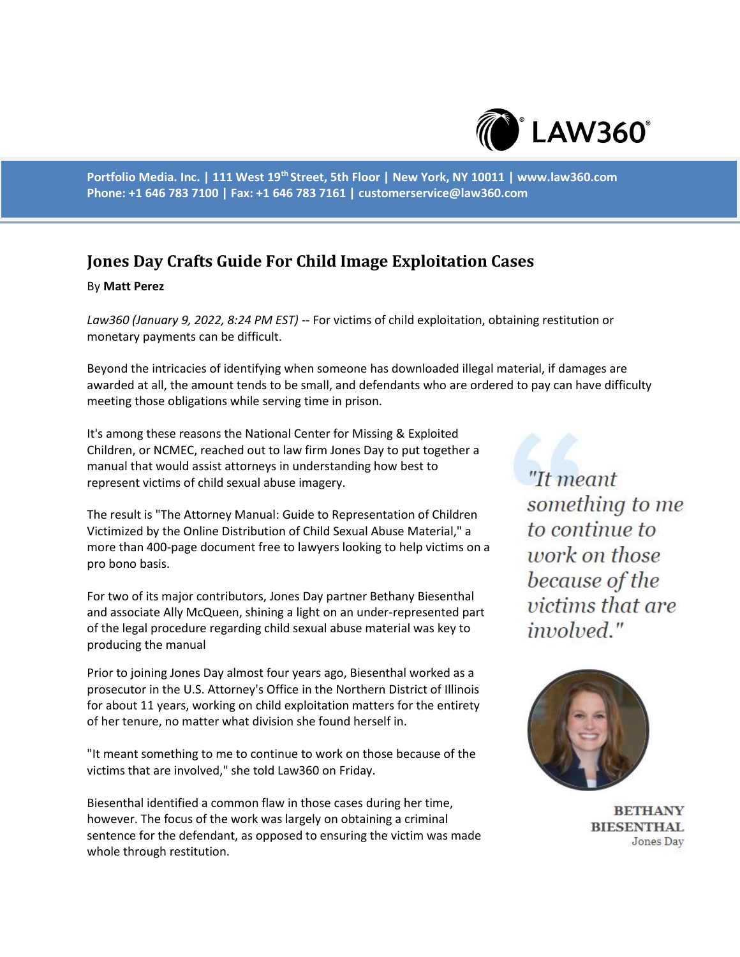

**Portfolio Media. Inc. | 111 West 19th Street, 5th Floor | New York, NY 10011 | www.law360.com Phone: +1 646 783 7100 | Fax: +1 646 783 7161 | customerservice@law360.com**

## **Jones Day Crafts Guide For Child Image Exploitation Cases**

## By **Matt Perez**

*Law360 (January 9, 2022, 8:24 PM EST)* -- For victims of child exploitation, obtaining restitution or monetary payments can be difficult.

Beyond the intricacies of identifying when someone has downloaded illegal material, if damages are awarded at all, the amount tends to be small, and defendants who are ordered to pay can have difficulty meeting those obligations while serving time in prison.

It's among these reasons the National Center for Missing & Exploited Children, or NCMEC, reached out to law firm Jones Day to put together a manual that would assist attorneys in understanding how best to represent victims of child sexual abuse imagery.

The result is "The Attorney Manual: Guide to Representation of Children Victimized by the Online Distribution of Child Sexual Abuse Material," a more than 400-page document free to lawyers looking to help victims on a pro bono basis.

For two of its major contributors, Jones Day partner Bethany Biesenthal and associate Ally McQueen, shining a light on an under-represented part of the legal procedure regarding child sexual abuse material was key to producing the manual

Prior to joining Jones Day almost four years ago, Biesenthal worked as a prosecutor in the U.S. Attorney's Office in the Northern District of Illinois for about 11 years, working on child exploitation matters for the entirety of her tenure, no matter what division she found herself in.

"It meant something to me to continue to work on those because of the victims that are involved," she told Law360 on Friday.

Biesenthal identified a common flaw in those cases during her time, however. The focus of the work was largely on obtaining a criminal sentence for the defendant, as opposed to ensuring the victim was made whole through restitution.

"It meant something to me to continue to work on those because of the *victims that are* involved."



**BETHANY BIESENTHAL** Jones Day